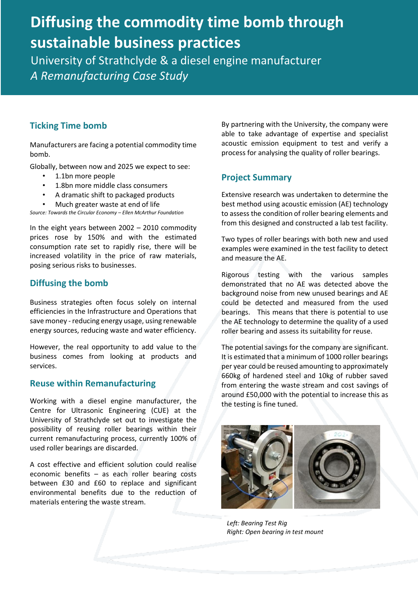# **Diffusing the commodity time bomb through sustainable business practices**

University of Strathclyde & a diesel engine manufacturer *A Remanufacturing Case Study* 

### **Ticking Time bomb**

Manufacturers are facing a potential commodity time bomb.

Globally, between now and 2025 we expect to see:

- 1.1bn more people
- 1.8bn more middle class consumers
- A dramatic shift to packaged products
- Much greater waste at end of life

*Source: Towards the Circular Economy – Ellen McArthur Foundation*

In the eight years between 2002 – 2010 commodity prices rose by 150% and with the estimated consumption rate set to rapidly rise, there will be increased volatility in the price of raw materials, posing serious risks to businesses.

#### **Diffusing the bomb**

Business strategies often focus solely on internal efficiencies in the Infrastructure and Operations that save money - reducing energy usage, using renewable energy sources, reducing waste and water efficiency.

However, the real opportunity to add value to the business comes from looking at products and services.

#### **Reuse within Remanufacturing**

Working with a diesel engine manufacturer, the Centre for Ultrasonic Engineering (CUE) at the University of Strathclyde set out to investigate the possibility of reusing roller bearings within their current remanufacturing process, currently 100% of used roller bearings are discarded.

A cost effective and efficient solution could realise economic benefits – as each roller bearing costs between £30 and £60 to replace and significant environmental benefits due to the reduction of materials entering the waste stream.

By partnering with the University, the company were able to take advantage of expertise and specialist acoustic emission equipment to test and verify a process for analysing the quality of roller bearings.

# **Project Summary**

Extensive research was undertaken to determine the best method using acoustic emission (AE) technology to assess the condition of roller bearing elements and from this designed and constructed a lab test facility.

Two types of roller bearings with both new and used examples were examined in the test facility to detect and measure the AE.

Rigorous testing with the various samples demonstrated that no AE was detected above the background noise from new unused bearings and AE could be detected and measured from the used bearings. This means that there is potential to use the AE technology to determine the quality of a used roller bearing and assess its suitability for reuse.

The potential savings for the company are significant. It is estimated that a minimum of 1000 roller bearings per year could be reused amounting to approximately 660kg of hardened steel and 10kg of rubber saved from entering the waste stream and cost savings of around £50,000 with the potential to increase this as the testing is fine tuned.



*Left: Bearing Test Rig Right: Open bearing in test mount*